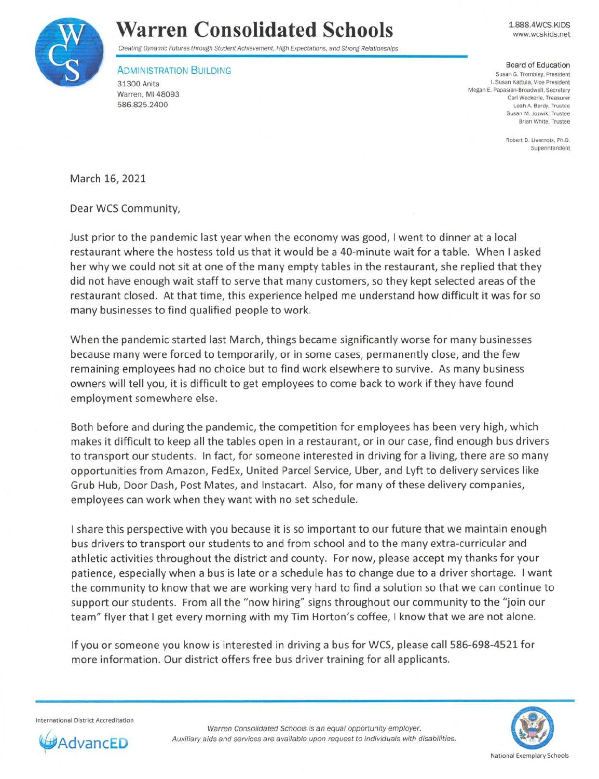

## **Warren Consolidated Schools**

Creating Dynamic Futures through Student Achievement, High Expectations, and Strong Relationships

**ADMINISTRATION BUILDING** 31300 Anita Warren, Ml 48093

586.825.2400

1.888.4WCS.KIDS www.wcskids.net

Board of Education Susan G. Trombley, President I. Susan Kattula, Vice President Megan E. Papasian-Broadwell, Secretary Carl Weckerle, Treasurer Leah A. Berdy. Trustee Susan M. Jozwik, Trustee Brian White, Trustee

> Robert D. Livernois, Ph.D. Superintendent

March 16, 2021

Dear WCS Community,

Just prior to the pandemic last year when the economy was good, I went to dinner at a local restaurant where the hostess told us that it would be a 40-minute wait for a table. When I asked her why we could not sit at one of the many empty tables in the restaurant, she replied that they did not have enough wait staff to serve that many customers, so they kept selected areas of the restaurant closed. At that time, this experience helped me understand how difficult it was for so many businesses to find qualified people to work.

When the pandemic started last March, things became significantly worse for many businesses because many were forced to temporarily, or in some cases, permanently close, and the few remaining employees had no choice but to find work elsewhere to survive. As many business owners will tell you, it is difficult to get employees to come back to work if they have found employment somewhere else.

Both before and during the pandemic, the competition for employees has been very high, which makes it difficult to keep all the tables open in a restaurant, or in our case, find enough bus drivers to transport our students. In fact, for someone interested in driving for a living, there are so many opportunities from Amazon, FedEx, United Parcel Service, Uber, and Lyft to delivery services like Grub Hub, Door Dash, Post Mates, and lnstacart. Also, for many of these delivery companies, employees can work when they want with no set schedule.

I share this perspective with you because it is so important to our future that we maintain enough bus drivers to transport our students to and from school and to the many extra-curricular and athletic activities throughout the district and county. For now, please accept my thanks for your patience, especially when a bus is late or a schedule has to change due to a driver shortage. I want the community to know that we are working very hard to find a solution so that we can continue to support our students. From all the "now hiring" signs throughout our community to the "join our team" flyer that I get every morning with my Tim Horton's coffee, I know that we are not alone.

If you or someone you know is interested in driving a bus for WCS, please call 586-698-4521 for more information. Our district offers free bus driver training for all applicants.

International District Accredit ation



Warren Consolidated Schools is an equal opportunity employer. Auxiliary aids and services are available upon request to individuals with disabilities.

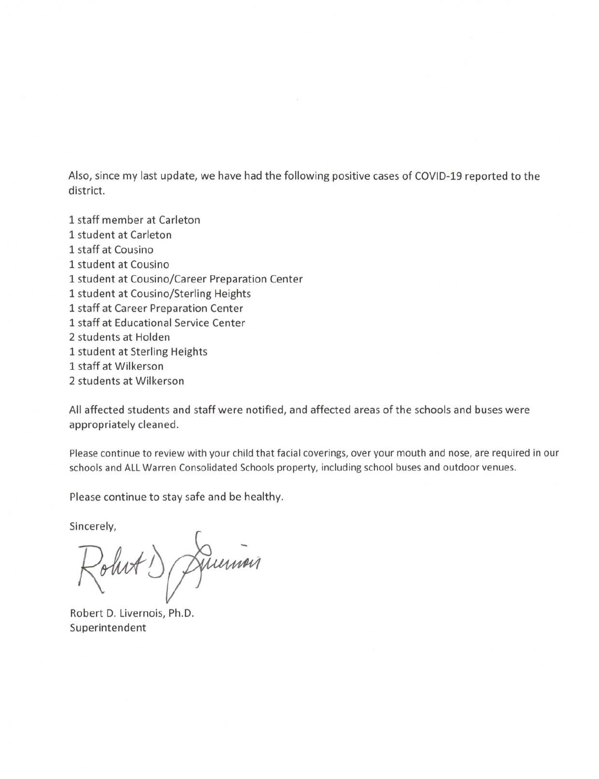Also, since my last update, we have had the following positive cases of COVID-19 reported to the district.

1 staff member at Carleton 1 student at Carleton 1 staff at Cousino 1 student at Cousino 1 student at Cousino/Career Preparation Center 1 student at Cousino/Sterling Heights 1 staff at Career Preparation Center 1 staff at Educational Service Center 2 students at Holden 1 student at Sterling Heights 1 staff at Wilkerson 2 students at Wilkerson

All affected students and staff were notified, and affected areas of the schools and buses were appropriately cleaned.

Please continue to review with your child that facial coverings, over your mouth and nose, are required in our schools and ALL Warren Consolidated Schools property, including school buses and outdoor venues.

Please continue to stay safe and be healthy.

Sincerely,

Johnt D Junion

Robert D. Livernois, Ph.D. Superintendent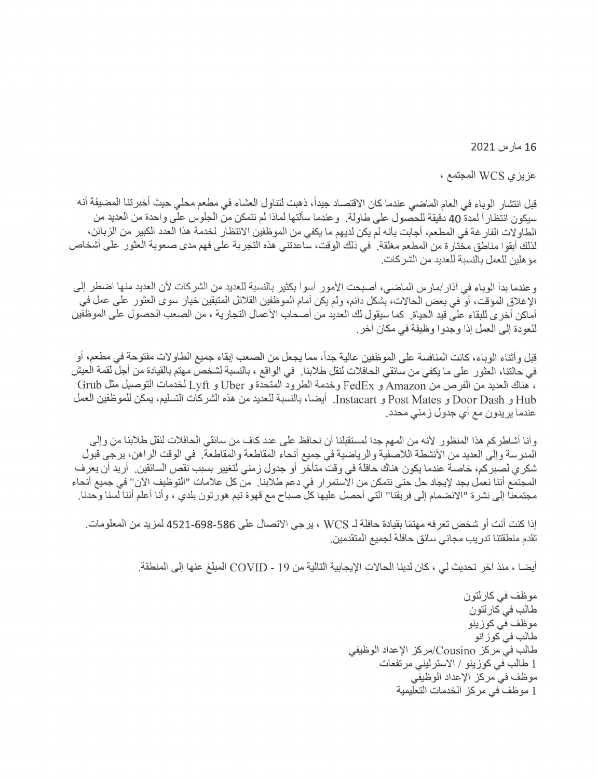16 مارس 2021

عزيزي WCS المجتمع ،

قبل انتشار الوباء في العام الماضي عندما كان الاقتصاد جيداً، ذهبت لتناول العشاء في مطعم محلي حيث أخبر تنا المضيفة أنه سيكون انتظاراً لمدة 40 دقيقة للحصول على طاولة. وعندما سألتها لماذا لم نتمكن من الجلوس على واحدة من العديد من الطاولات الفار غة في المطعم، أجابت بأنه لم يكن لديهم ما يكفي من الموظفين الانتظار لخدمة هذا العدد الكبير من الزبائن، لذلك أبقوا مناطق مختارة من المطعم مغلقة. في ذلك الوقت، ساعدتني هذه التجربة على فهم مدى صعوبة العثور على أشخاص موَ هلين للعمل بالنسبة للعديد من الشركات.

وعندما بدأ الوباء في آذار /مارس الماضي، أصبحت الأمور أسوأ بكثير بالنسبة للعديد من الشركات لأن العديد منها اضطر إلى الإغلاق المؤقت، أو في بعض الحالات، بشكل دائم، ولم يكن أمام الموظفين القلائل المتبقين خيار سوى العثور على عمل في أماكن أخر ي للبقاء على قيد الحياة. كما سيقول لك العديد من أصحاب الأعمال التجارية ، من الصعب الحصول على الموظفين للعودة إلى العمل إذا وجدوا وظيفة في مكان آخر .

قبل وأثناء الوباء، كانت المنافسة على الموظفين عالية جداً، مما يجعل من الصعب إبقاء جميع الطاو لات مفتوحة في مطعم، أو في حالتنا، العثور على ما يكفي من سائقي الحافلات لنقل طلابنا في الواقع ، بالنسبة لشخص مهتم بالقيادة من أجل لقمة العيش ، هناك العديد من الفرص من Amazon و FedEx وخدمة الطرود المتحدة و Uber و Lyft لخدمات التوصيل مثل Grub Hub و Door Dash و Post Mates و Instacart. أيضا، بالنسبة للعديد من هذه الشركات التسليم، يمكن للموظفين العمل عندما يريدون مع أي جدول زمني محدد.

وأنا أشاطركم هذا المنظور لأنه من المهم جدا لمستقبلنا أن نحافظ على عدد كاف من سائقي الحافلات لنقل طلابنا من وإلى المدرسة وإلى العديد من الأنشطة اللاصفية والرياضية في جميع أنحاء المقاطعة والمقاطعة. في الوقت الراهن، يرجى قبول شكر ي لصبر كم، خاصنة عندما يكون هناك حافلة في وقت متأخر أو جدول زمني لتغيير بسبب نقص السائقين. أريد أن يعر ف المجتمع أننا نعمل بجد لإيجاد حل حتى نتمكن من الاستمر ار في دعم طلابنا. من كل علامات "التوظيف الآن" في جميع أنحاء مجتمعنا إلى نشرة "الانضمام إلى فريقنا" التي أحصل عليها كل صباح مع قهوة تيم هورتون بلدي ، وأنا أعلم أننا لسنا وحدنا

إذا كنت أنت أو شخص تعر فه مهتمًا بقيادة حافلة لــ WCS ، يرجى الاتصال على 586-698-4521 لمزيد من المعلومات. تقدم منطقتنا تدريب مجاني سائق حافلة لجميع المتقدمين.

أيضـا ، منذ آخر تحديث لي ، كان لدينا الحالات الإيجابية التالية من 19 - COVID المبلغ عنها إلى المنطقة.

موظف في كارلتون طالب في كار لتون موظف في كوزينو طالب في كوز انو طالب في مركز Cousino/مركز الإعداد الوظيفى 1 طالب في كوزينو / الاسترليني مرتفعات موظف في مركز الإعداد الوظيفي 1 موظف في مركز الخدمات التعليمية